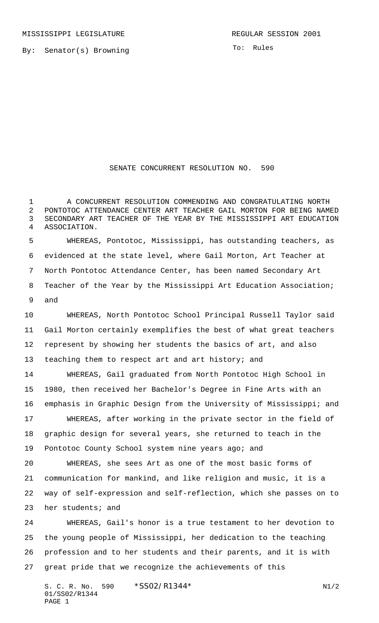By: Senator(s) Browning

To: Rules

## SENATE CONCURRENT RESOLUTION NO. 590

 A CONCURRENT RESOLUTION COMMENDING AND CONGRATULATING NORTH PONTOTOC ATTENDANCE CENTER ART TEACHER GAIL MORTON FOR BEING NAMED SECONDARY ART TEACHER OF THE YEAR BY THE MISSISSIPPI ART EDUCATION ASSOCIATION.

 WHEREAS, Pontotoc, Mississippi, has outstanding teachers, as evidenced at the state level, where Gail Morton, Art Teacher at North Pontotoc Attendance Center, has been named Secondary Art Teacher of the Year by the Mississippi Art Education Association; and

 WHEREAS, North Pontotoc School Principal Russell Taylor said Gail Morton certainly exemplifies the best of what great teachers represent by showing her students the basics of art, and also teaching them to respect art and art history; and

 WHEREAS, Gail graduated from North Pontotoc High School in 1980, then received her Bachelor's Degree in Fine Arts with an emphasis in Graphic Design from the University of Mississippi; and

 WHEREAS, after working in the private sector in the field of graphic design for several years, she returned to teach in the Pontotoc County School system nine years ago; and

 WHEREAS, she sees Art as one of the most basic forms of communication for mankind, and like religion and music, it is a way of self-expression and self-reflection, which she passes on to her students; and

 WHEREAS, Gail's honor is a true testament to her devotion to the young people of Mississippi, her dedication to the teaching profession and to her students and their parents, and it is with great pride that we recognize the achievements of this

S. C. R. No. 590 \*SS02/R1344\* N1/2 01/SS02/R1344 PAGE 1